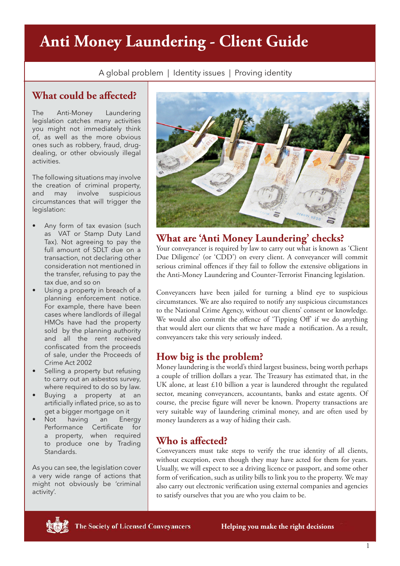# **Anti Money Laundering - Client Guide**

A global problem | Identity issues | Proving identity

## **What could be affected?**

The Anti-Money Laundering legislation catches many activities you might not immediately think of, as well as the more obvious ones such as robbery, fraud, drugdealing, or other obviously illegal activities.

The following situations may involve the creation of criminal property, and may involve suspicious circumstances that will trigger the legislation:

- Any form of tax evasion (such as VAT or Stamp Duty Land Tax). Not agreeing to pay the full amount of SDLT due on a transaction, not declaring other consideration not mentioned in the transfer, refusing to pay the tax due, and so on
- Using a property in breach of a planning enforcement notice. For example, there have been cases where landlords of illegal HMOs have had the property sold by the planning authority and all the rent received confiscated from the proceeds of sale, under the Proceeds of Crime Act 2002
- Selling a property but refusing to carry out an asbestos survey, where required to do so by law.
- Buying a property at an artificially inflated price, so as to get a bigger mortgage on it
- Not having an Energy Performance Certificate for a property, when required to produce one by Trading Standards.

As you can see, the legislation cover a very wide range of actions that might not obviously be 'criminal activity'.



#### **What are 'Anti Money Laundering' checks?**

Your conveyancer is required by law to carry out what is known as 'Client Due Diligence' (or 'CDD') on every client. A conveyancer will commit serious criminal offences if they fail to follow the extensive obligations in the Anti-Money Laundering and Counter-Terrorist Financing legislation.

Conveyancers have been jailed for turning a blind eye to suspicious circumstances. We are also required to notify any suspicious circumstances to the National Crime Agency, without our clients' consent or knowledge. We would also commit the offence of 'Tipping Off' if we do anything that would alert our clients that we have made a notification. As a result, conveyancers take this very seriously indeed.

## **How big is the problem?**

Money laundering is the world's third largest business, being worth perhaps a couple of trillion dollars a year. The Treasury has estimated that, in the UK alone, at least £10 billion a year is laundered throught the regulated sector, meaning conveyancers, accountants, banks and estate agents. Of course, the precise figure will never be known. Property transactions are very suitable way of laundering criminal money, and are often used by money launderers as a way of hiding their cash.

# **Who is affected?**

Conveyancers must take steps to verify the true identity of all clients, without exception, even though they may have acted for them for years. Usually, we will expect to see a driving licence or passport, and some other form of verification, such as utility bills to link you to the property. We may also carry out electronic verification using external companies and agencies to satisfy ourselves that you are who you claim to be.